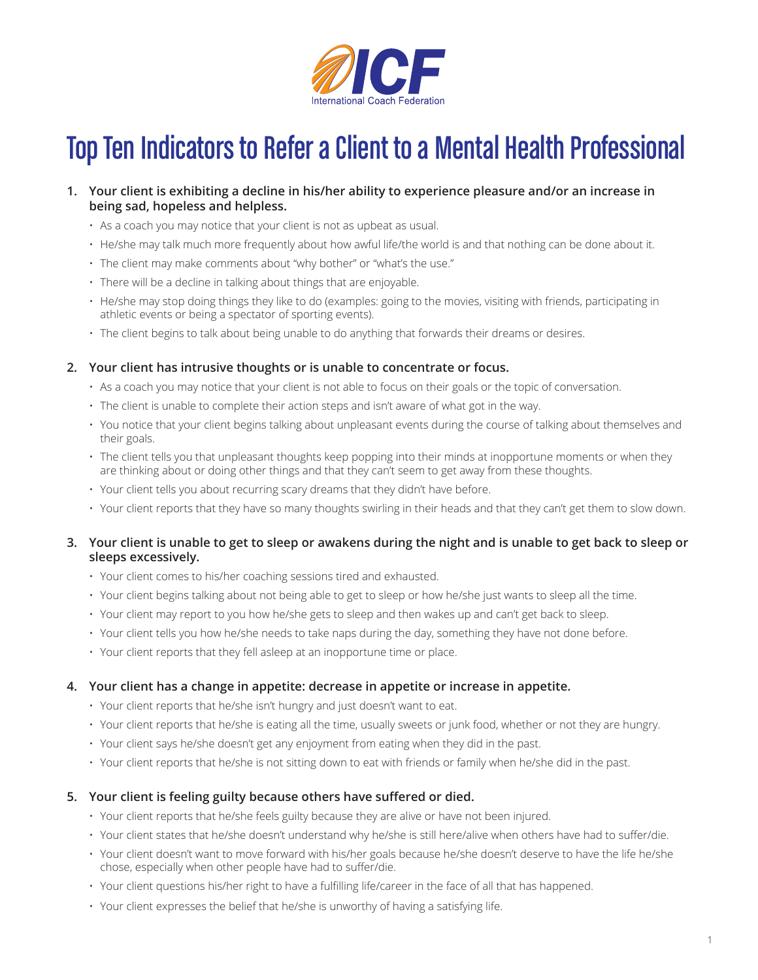

# Top Ten Indicators to Refer a Client to a Mental Health Professional

# **1. Your client is exhibiting a decline in his/her ability to experience pleasure and/or an increase in being sad, hopeless and helpless.**

- As a coach you may notice that your client is not as upbeat as usual.
- He/she may talk much more frequently about how awful life/the world is and that nothing can be done about it.
- The client may make comments about "why bother" or "what's the use."
- There will be a decline in talking about things that are enjoyable.
- He/she may stop doing things they like to do (examples: going to the movies, visiting with friends, participating in athletic events or being a spectator of sporting events).
- The client begins to talk about being unable to do anything that forwards their dreams or desires.

## **2. Your client has intrusive thoughts or is unable to concentrate or focus.**

- As a coach you may notice that your client is not able to focus on their goals or the topic of conversation.
- The client is unable to complete their action steps and isn't aware of what got in the way.
- You notice that your client begins talking about unpleasant events during the course of talking about themselves and their goals.
- The client tells you that unpleasant thoughts keep popping into their minds at inopportune moments or when they are thinking about or doing other things and that they can't seem to get away from these thoughts.
- Your client tells you about recurring scary dreams that they didn't have before.
- Your client reports that they have so many thoughts swirling in their heads and that they can't get them to slow down.

## **3. Your client is unable to get to sleep or awakens during the night and is unable to get back to sleep or sleeps excessively.**

- Your client comes to his/her coaching sessions tired and exhausted.
- Your client begins talking about not being able to get to sleep or how he/she just wants to sleep all the time.
- Your client may report to you how he/she gets to sleep and then wakes up and can't get back to sleep.
- Your client tells you how he/she needs to take naps during the day, something they have not done before.
- Your client reports that they fell asleep at an inopportune time or place.

## **4. Your client has a change in appetite: decrease in appetite or increase in appetite.**

- Your client reports that he/she isn't hungry and just doesn't want to eat.
- Your client reports that he/she is eating all the time, usually sweets or junk food, whether or not they are hungry.
- Your client says he/she doesn't get any enjoyment from eating when they did in the past.
- Your client reports that he/she is not sitting down to eat with friends or family when he/she did in the past.

## **5. Your client is feeling guilty because others have suffered or died.**

- Your client reports that he/she feels guilty because they are alive or have not been injured.
- Your client states that he/she doesn't understand why he/she is still here/alive when others have had to suffer/die.
- Your client doesn't want to move forward with his/her goals because he/she doesn't deserve to have the life he/she chose, especially when other people have had to suffer/die.
- Your client questions his/her right to have a fulfilling life/career in the face of all that has happened.
- Your client expresses the belief that he/she is unworthy of having a satisfying life.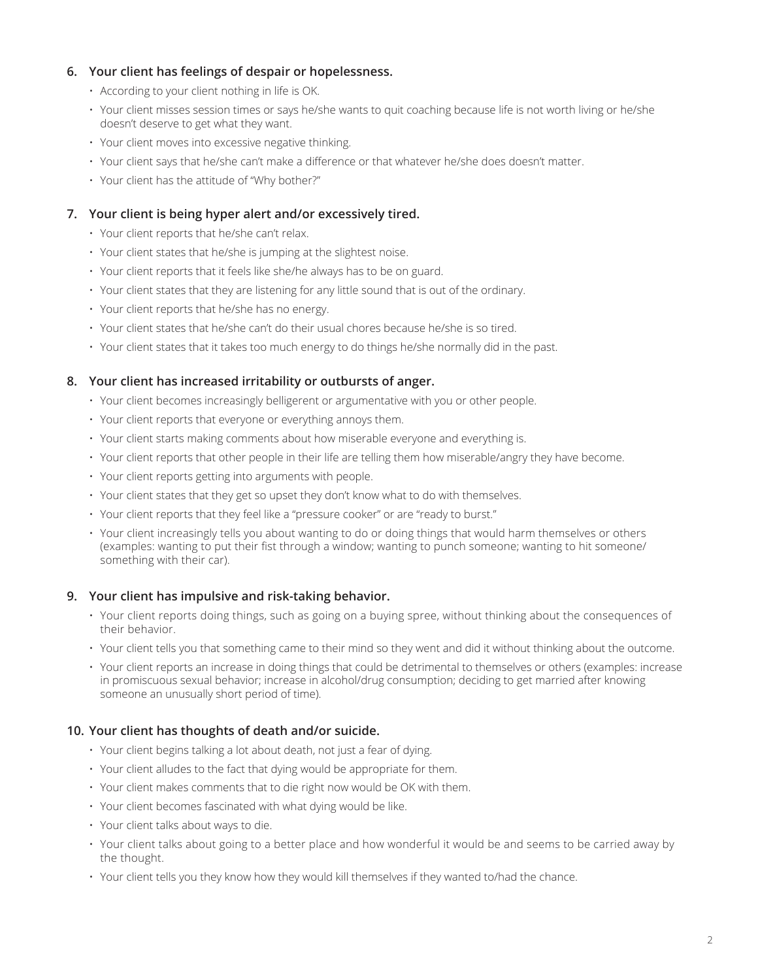# **6. Your client has feelings of despair or hopelessness.**

- According to your client nothing in life is OK.
- Your client misses session times or says he/she wants to quit coaching because life is not worth living or he/she doesn't deserve to get what they want.
- Your client moves into excessive negative thinking.
- Your client says that he/she can't make a difference or that whatever he/she does doesn't matter.
- Your client has the attitude of "Why bother?"

# **7. Your client is being hyper alert and/or excessively tired.**

- Your client reports that he/she can't relax.
- Your client states that he/she is jumping at the slightest noise.
- Your client reports that it feels like she/he always has to be on guard.
- Your client states that they are listening for any little sound that is out of the ordinary.
- Your client reports that he/she has no energy.
- Your client states that he/she can't do their usual chores because he/she is so tired.
- Your client states that it takes too much energy to do things he/she normally did in the past.

## **8. Your client has increased irritability or outbursts of anger.**

- Your client becomes increasingly belligerent or argumentative with you or other people.
- Your client reports that everyone or everything annoys them.
- Your client starts making comments about how miserable everyone and everything is.
- Your client reports that other people in their life are telling them how miserable/angry they have become.
- Your client reports getting into arguments with people.
- Your client states that they get so upset they don't know what to do with themselves.
- Your client reports that they feel like a "pressure cooker" or are "ready to burst."
- Your client increasingly tells you about wanting to do or doing things that would harm themselves or others (examples: wanting to put their fist through a window; wanting to punch someone; wanting to hit someone/ something with their car).

## **9. Your client has impulsive and risk-taking behavior.**

- Your client reports doing things, such as going on a buying spree, without thinking about the consequences of their behavior.
- Your client tells you that something came to their mind so they went and did it without thinking about the outcome.
- Your client reports an increase in doing things that could be detrimental to themselves or others (examples: increase in promiscuous sexual behavior; increase in alcohol/drug consumption; deciding to get married after knowing someone an unusually short period of time).

## **10. Your client has thoughts of death and/or suicide.**

- Your client begins talking a lot about death, not just a fear of dying.
- Your client alludes to the fact that dying would be appropriate for them.
- Your client makes comments that to die right now would be OK with them.
- Your client becomes fascinated with what dying would be like.
- Your client talks about ways to die.
- Your client talks about going to a better place and how wonderful it would be and seems to be carried away by the thought.
- Your client tells you they know how they would kill themselves if they wanted to/had the chance.